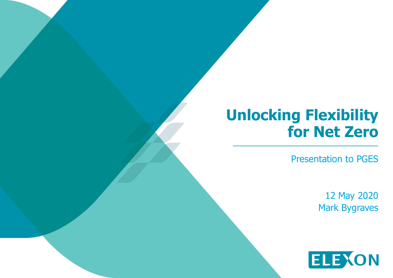## **Unlocking Flexibility for Net Zero**

Presentation to PGES

12 May 2020 Mark Bygraves

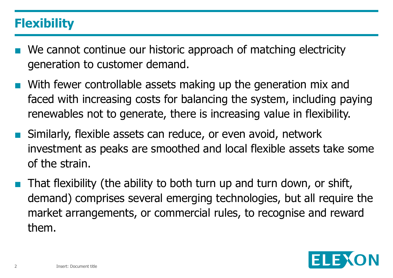## **Flexibility**

- We cannot continue our historic approach of matching electricity generation to customer demand.
- With fewer controllable assets making up the generation mix and faced with increasing costs for balancing the system, including paying renewables not to generate, there is increasing value in flexibility.
- Similarly, flexible assets can reduce, or even avoid, network investment as peaks are smoothed and local flexible assets take some of the strain.
- That flexibility (the ability to both turn up and turn down, or shift, demand) comprises several emerging technologies, but all require the market arrangements, or commercial rules, to recognise and reward them.

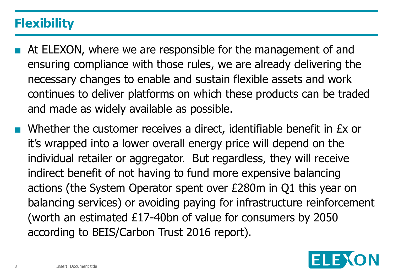## **Flexibility**

- At ELEXON, where we are responsible for the management of and ensuring compliance with those rules, we are already delivering the necessary changes to enable and sustain flexible assets and work continues to deliver platforms on which these products can be traded and made as widely available as possible.
	- Whether the customer receives a direct, identifiable benefit in Ex or it's wrapped into a lower overall energy price will depend on the individual retailer or aggregator. But regardless, they will receive indirect benefit of not having to fund more expensive balancing actions (the System Operator spent over £280m in Q1 this year on balancing services) or avoiding paying for infrastructure reinforcement (worth an estimated £17-40bn of value for consumers by 2050 according to BEIS/Carbon Trust 2016 report).

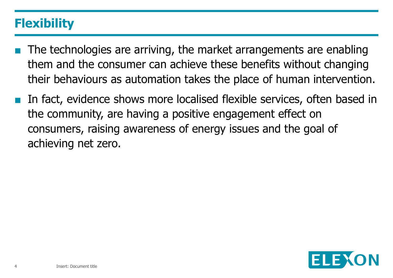## **Flexibility**

- The technologies are arriving, the market arrangements are enabling them and the consumer can achieve these benefits without changing their behaviours as automation takes the place of human intervention.
- In fact, evidence shows more localised flexible services, often based in the community, are having a positive engagement effect on consumers, raising awareness of energy issues and the goal of achieving net zero.